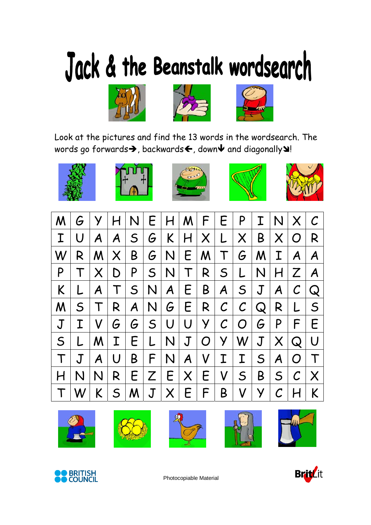## Jack & the Beanstalk wordsearch







Look at the pictures and find the 13 words in the wordsearch. The words go forwards $\rightarrow$ , backwards $\leftarrow$ , down $\blacktriangledown$  and diagonally $\blacktriangle$ !











| $\mathcal M$   | $G \mid$       |                |           | Y H N          |     |                        |                                          | E H M F E P                                      |              | I N X        |                                                                                              | $\mathcal C$            |
|----------------|----------------|----------------|-----------|----------------|-----|------------------------|------------------------------------------|--------------------------------------------------|--------------|--------------|----------------------------------------------------------------------------------------------|-------------------------|
| $\mathbf T$    | U              | A <sub>1</sub> | $A \mid$  | S <sub>1</sub> |     |                        | $G$ $K$ $H$ $X$ $L$                      |                                                  | X B          | $\times$     | O <sub>1</sub>                                                                               | R                       |
| W <sup>I</sup> | R.             | M X            |           | B <sub>1</sub> |     |                        | $G\vert N \vert E \vert M \vert T \vert$ |                                                  | $G$ $M$ $I$  |              | $\mathcal{A}$                                                                                | $\mathsf{A}$            |
| P              |                | TXI            | D         | P              |     |                        |                                          | $S\vert N \vert T \vert R \vert S \vert L \vert$ |              | N H          | $Z$   A                                                                                      |                         |
| K              | L              | $\mathcal{A}$  | T         |                |     | $S\vert N\vert A\vert$ |                                          | E B A S J                                        |              | A            | $\mathcal C$                                                                                 | Q                       |
| M.             | S <sub>1</sub> | T <sub>1</sub> |           |                |     |                        |                                          | $R$ $A$ $N$ $G$ $E$ $R$ $C$ $C$ $Q$              |              | R            | L                                                                                            | $\mathsf{S}$            |
| $\mathbf J$    | $\mathbf T$    | V <sub>1</sub> | $G \mid$  |                |     |                        |                                          | $G$ $S$ $U$ $U$ $Y$ $C$ $O$ $G$ $P$              |              |              | F                                                                                            | E                       |
| S <sub>1</sub> | L              | M <sub>1</sub> | $I \mid$  |                | E L |                        |                                          | N J O Y W J X Q                                  |              |              |                                                                                              | U                       |
|                | $\mathbf J$    | $A \mid$       | $\bigcup$ | $B \mid$       |     |                        | $F\vert N\vert A\vert V\vert I\vert$     | I                                                |              | $S$ $A$      | $\overline{O}$                                                                               | $\top$                  |
|                | N              | N <sub>1</sub> | R         |                |     |                        | E Z E X E V                              | $\vert$ S $\vert$                                | $\mathsf{B}$ | $S \mid$     | $\mathcal C$                                                                                 | $\mathsf{I} \mathsf{X}$ |
| $\top$         | W              | K              |           |                |     |                        |                                          | $S$ $M$ $J$ $X$ $E$ $F$ $B$ $V$ $Y$              |              | $\mathcal C$ | $\mathsf{H}% _{0}\left( \mathcal{M}_{0}\right) =\mathsf{H}_{0}\left( \mathcal{M}_{0}\right)$ | $\sf K$                 |













Photocopiable Material